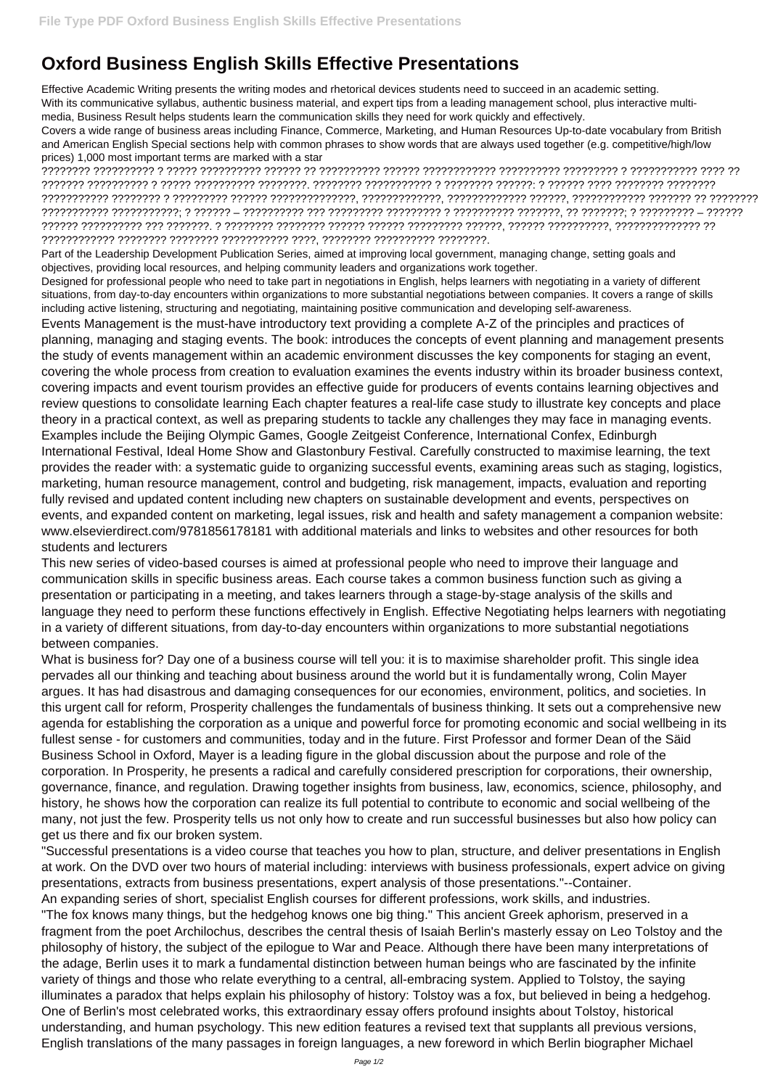## **Oxford Business English Skills Effective Presentations**

Effective Academic Writing presents the writing modes and rhetorical devices students need to succeed in an academic setting. With its communicative syllabus, authentic business material, and expert tips from a leading management school, plus interactive multimedia, Business Result helps students learn the communication skills they need for work quickly and effectively.

Covers a wide range of business areas including Finance, Commerce, Marketing, and Human Resources Up-to-date vocabulary from British and American English Special sections help with common phrases to show words that are always used together (e.g. competitive/high/low prices) 1,000 most important terms are marked with a star

???????? ?????????? ? ????? ?????????? ?????? ?? ?????????? ?????? ???????????? ?????????? ????????? ? ??????????? ???? ?? ??????? ?????????? ? ????? ?????????? ????????. ???????? ??????????? ? ???????? ??????: ? ?????? ???? ???????? ???????? ??????????? ???????? ? ????????? ?????? ??????????????, ?????????????, ????????????? ??????, ???????????? ??????? ?? ???????? ??????????? ???????????; ? ?????? – ?????????? ??? ????????? ????????? ? ?????????? ???????, ?? ???????; ? ????????? – ?????? ?????? ?????????? ??? ???????. ? ???????? ???????? ?????? ?????? ????????? ??????, ?????? ??????????, ?????????????? ?? ???????????? ???????? ???????? ??????????? ????, ???????? ?????????? ????????.

Part of the Leadership Development Publication Series, aimed at improving local government, managing change, setting goals and objectives, providing local resources, and helping community leaders and organizations work together.

Designed for professional people who need to take part in negotiations in English, helps learners with negotiating in a variety of different situations, from day-to-day encounters within organizations to more substantial negotiations between companies. It covers a range of skills including active listening, structuring and negotiating, maintaining positive communication and developing self-awareness.

Events Management is the must-have introductory text providing a complete A-Z of the principles and practices of planning, managing and staging events. The book: introduces the concepts of event planning and management presents the study of events management within an academic environment discusses the key components for staging an event, covering the whole process from creation to evaluation examines the events industry within its broader business context, covering impacts and event tourism provides an effective guide for producers of events contains learning objectives and review questions to consolidate learning Each chapter features a real-life case study to illustrate key concepts and place theory in a practical context, as well as preparing students to tackle any challenges they may face in managing events. Examples include the Beijing Olympic Games, Google Zeitgeist Conference, International Confex, Edinburgh International Festival, Ideal Home Show and Glastonbury Festival. Carefully constructed to maximise learning, the text provides the reader with: a systematic guide to organizing successful events, examining areas such as staging, logistics, marketing, human resource management, control and budgeting, risk management, impacts, evaluation and reporting fully revised and updated content including new chapters on sustainable development and events, perspectives on events, and expanded content on marketing, legal issues, risk and health and safety management a companion website: www.elsevierdirect.com/9781856178181 with additional materials and links to websites and other resources for both students and lecturers

This new series of video-based courses is aimed at professional people who need to improve their language and communication skills in specific business areas. Each course takes a common business function such as giving a presentation or participating in a meeting, and takes learners through a stage-by-stage analysis of the skills and language they need to perform these functions effectively in English. Effective Negotiating helps learners with negotiating in a variety of different situations, from day-to-day encounters within organizations to more substantial negotiations between companies.

What is business for? Day one of a business course will tell you: it is to maximise shareholder profit. This single idea pervades all our thinking and teaching about business around the world but it is fundamentally wrong, Colin Mayer argues. It has had disastrous and damaging consequences for our economies, environment, politics, and societies. In this urgent call for reform, Prosperity challenges the fundamentals of business thinking. It sets out a comprehensive new agenda for establishing the corporation as a unique and powerful force for promoting economic and social wellbeing in its fullest sense - for customers and communities, today and in the future. First Professor and former Dean of the Säid Business School in Oxford, Mayer is a leading figure in the global discussion about the purpose and role of the corporation. In Prosperity, he presents a radical and carefully considered prescription for corporations, their ownership, governance, finance, and regulation. Drawing together insights from business, law, economics, science, philosophy, and history, he shows how the corporation can realize its full potential to contribute to economic and social wellbeing of the many, not just the few. Prosperity tells us not only how to create and run successful businesses but also how policy can get us there and fix our broken system. "Successful presentations is a video course that teaches you how to plan, structure, and deliver presentations in English at work. On the DVD over two hours of material including: interviews with business professionals, expert advice on giving presentations, extracts from business presentations, expert analysis of those presentations."--Container. An expanding series of short, specialist English courses for different professions, work skills, and industries. "The fox knows many things, but the hedgehog knows one big thing." This ancient Greek aphorism, preserved in a fragment from the poet Archilochus, describes the central thesis of Isaiah Berlin's masterly essay on Leo Tolstoy and the philosophy of history, the subject of the epilogue to War and Peace. Although there have been many interpretations of the adage, Berlin uses it to mark a fundamental distinction between human beings who are fascinated by the infinite variety of things and those who relate everything to a central, all-embracing system. Applied to Tolstoy, the saying illuminates a paradox that helps explain his philosophy of history: Tolstoy was a fox, but believed in being a hedgehog. One of Berlin's most celebrated works, this extraordinary essay offers profound insights about Tolstoy, historical understanding, and human psychology. This new edition features a revised text that supplants all previous versions, English translations of the many passages in foreign languages, a new foreword in which Berlin biographer Michael